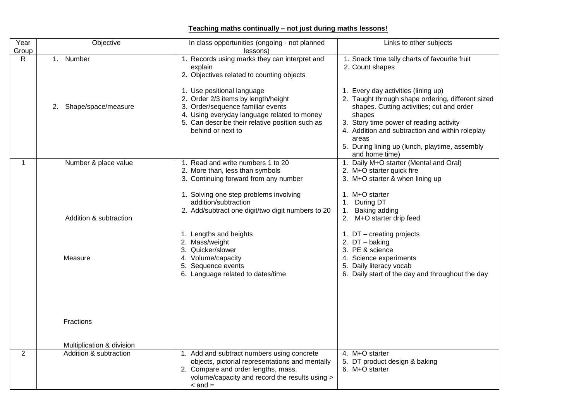## **Teaching maths continually – not just during maths lessons!**

| Year           | Objective                 | In class opportunities (ongoing - not planned                                         | Links to other subjects                                          |
|----------------|---------------------------|---------------------------------------------------------------------------------------|------------------------------------------------------------------|
| Group          | 1. Number                 | lessons)                                                                              |                                                                  |
| R              |                           | 1. Records using marks they can interpret and<br>explain                              | 1. Snack time tally charts of favourite fruit<br>2. Count shapes |
|                |                           | 2. Objectives related to counting objects                                             |                                                                  |
|                |                           |                                                                                       |                                                                  |
|                |                           | 1. Use positional language                                                            | 1. Every day activities (lining up)                              |
|                |                           | 2. Order 2/3 items by length/height                                                   | 2. Taught through shape ordering, different sized                |
|                | Shape/space/measure<br>2. | 3. Order/sequence familiar events<br>4. Using everyday language related to money      | shapes. Cutting activities; cut and order<br>shapes              |
|                |                           | 5. Can describe their relative position such as                                       | 3. Story time power of reading activity                          |
|                |                           | behind or next to                                                                     | 4. Addition and subtraction and within roleplay                  |
|                |                           |                                                                                       | areas                                                            |
|                |                           |                                                                                       | 5. During lining up (lunch, playtime, assembly                   |
| 1              | Number & place value      | 1. Read and write numbers 1 to 20                                                     | and home time)<br>1. Daily M+O starter (Mental and Oral)         |
|                |                           | 2. More than, less than symbols                                                       | 2. M+O starter quick fire                                        |
|                |                           | 3. Continuing forward from any number                                                 | 3. M+O starter & when lining up                                  |
|                |                           |                                                                                       |                                                                  |
|                |                           | 1. Solving one step problems involving<br>addition/subtraction                        | 1. M+O starter<br>1. During DT                                   |
|                |                           | 2. Add/subtract one digit/two digit numbers to 20                                     | 1. Baking adding                                                 |
|                | Addition & subtraction    |                                                                                       | M+O starter drip feed<br>2.                                      |
|                |                           |                                                                                       |                                                                  |
|                |                           | 1. Lengths and heights                                                                | 1. DT - creating projects                                        |
|                |                           | 2. Mass/weight<br>3. Quicker/slower                                                   | 2. DT - baking<br>3. PE & science                                |
|                | Measure                   | 4. Volume/capacity                                                                    | 4. Science experiments                                           |
|                |                           | 5. Sequence events                                                                    | 5. Daily literacy vocab                                          |
|                |                           | 6. Language related to dates/time                                                     | 6. Daily start of the day and throughout the day                 |
|                |                           |                                                                                       |                                                                  |
|                |                           |                                                                                       |                                                                  |
|                |                           |                                                                                       |                                                                  |
|                |                           |                                                                                       |                                                                  |
|                | Fractions                 |                                                                                       |                                                                  |
|                |                           |                                                                                       |                                                                  |
|                | Multiplication & division |                                                                                       |                                                                  |
| $\overline{2}$ | Addition & subtraction    | 1. Add and subtract numbers using concrete                                            | 4. M+O starter                                                   |
|                |                           | objects, pictorial representations and mentally                                       | 5. DT product design & baking<br>6. M+O starter                  |
|                |                           | 2. Compare and order lengths, mass,<br>volume/capacity and record the results using > |                                                                  |
|                |                           | $\alpha$ and $=$                                                                      |                                                                  |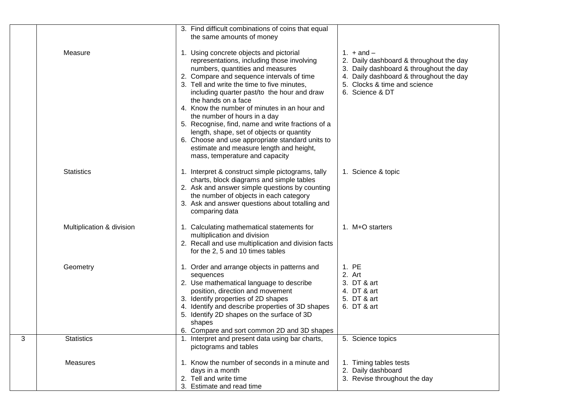|   |                           | 3. Find difficult combinations of coins that equal<br>the same amounts of money                                                                                                                                                                                                                                                                                                                                                                                                                                                                                                                               |                                                                                                                                                                                                    |
|---|---------------------------|---------------------------------------------------------------------------------------------------------------------------------------------------------------------------------------------------------------------------------------------------------------------------------------------------------------------------------------------------------------------------------------------------------------------------------------------------------------------------------------------------------------------------------------------------------------------------------------------------------------|----------------------------------------------------------------------------------------------------------------------------------------------------------------------------------------------------|
|   | Measure                   | 1. Using concrete objects and pictorial<br>representations, including those involving<br>numbers, quantities and measures<br>2. Compare and sequence intervals of time<br>3. Tell and write the time to five minutes,<br>including quarter past/to the hour and draw<br>the hands on a face<br>4. Know the number of minutes in an hour and<br>the number of hours in a day<br>5. Recognise, find, name and write fractions of a<br>length, shape, set of objects or quantity<br>6. Choose and use appropriate standard units to<br>estimate and measure length and height,<br>mass, temperature and capacity | 1. $+$ and $-$<br>2. Daily dashboard & throughout the day<br>3. Daily dashboard & throughout the day<br>4. Daily dashboard & throughout the day<br>5. Clocks & time and science<br>6. Science & DT |
|   | <b>Statistics</b>         | 1. Interpret & construct simple pictograms, tally<br>charts, block diagrams and simple tables<br>2. Ask and answer simple questions by counting<br>the number of objects in each category<br>3. Ask and answer questions about totalling and<br>comparing data                                                                                                                                                                                                                                                                                                                                                | 1. Science & topic                                                                                                                                                                                 |
|   | Multiplication & division | 1. Calculating mathematical statements for<br>multiplication and division<br>2. Recall and use multiplication and division facts<br>for the 2, 5 and 10 times tables                                                                                                                                                                                                                                                                                                                                                                                                                                          | 1. M+O starters                                                                                                                                                                                    |
|   | Geometry                  | 1. Order and arrange objects in patterns and<br>sequences<br>2. Use mathematical language to describe<br>position, direction and movement<br>3. Identify properties of 2D shapes<br>4. Identify and describe properties of 3D shapes<br>5. Identify 2D shapes on the surface of 3D<br>shapes<br>6. Compare and sort common 2D and 3D shapes                                                                                                                                                                                                                                                                   | 1. PE<br>2. Art<br>3. DT & art<br>4. DT & art<br>5. DT & art<br>6. DT & art                                                                                                                        |
| 3 | <b>Statistics</b>         | 1. Interpret and present data using bar charts,<br>pictograms and tables                                                                                                                                                                                                                                                                                                                                                                                                                                                                                                                                      | 5. Science topics                                                                                                                                                                                  |
|   | <b>Measures</b>           | 1. Know the number of seconds in a minute and<br>days in a month<br>2. Tell and write time<br>3. Estimate and read time                                                                                                                                                                                                                                                                                                                                                                                                                                                                                       | Timing tables tests<br>2. Daily dashboard<br>3. Revise throughout the day                                                                                                                          |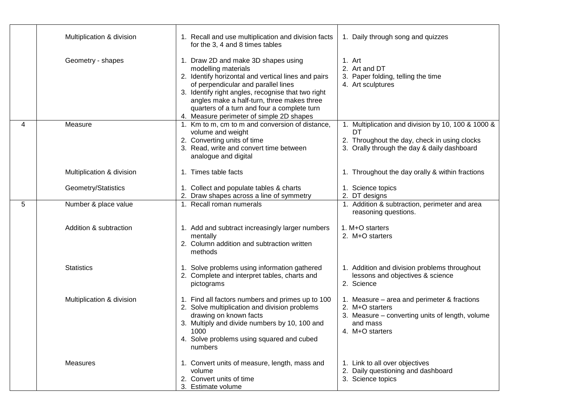|   | Multiplication & division | 1. Recall and use multiplication and division facts<br>for the 3, 4 and 8 times tables                                                                                                                                                                                                                                                                  | 1. Daily through song and quizzes                                                                                                                       |
|---|---------------------------|---------------------------------------------------------------------------------------------------------------------------------------------------------------------------------------------------------------------------------------------------------------------------------------------------------------------------------------------------------|---------------------------------------------------------------------------------------------------------------------------------------------------------|
|   | Geometry - shapes         | 1. Draw 2D and make 3D shapes using<br>modelling materials<br>2. Identify horizontal and vertical lines and pairs<br>of perpendicular and parallel lines<br>3. Identify right angles, recognise that two right<br>angles make a half-turn, three makes three<br>quarters of a turn and four a complete turn<br>4. Measure perimeter of simple 2D shapes | 1. Art<br>2. Art and DT<br>3. Paper folding, telling the time<br>4. Art sculptures                                                                      |
| 4 | Measure                   | 1. Km to m, cm to m and conversion of distance,<br>volume and weight<br>2. Converting units of time<br>3. Read, write and convert time between<br>analogue and digital                                                                                                                                                                                  | 1. Multiplication and division by 10, 100 & 1000 &<br>DT<br>2. Throughout the day, check in using clocks<br>3. Orally through the day & daily dashboard |
|   | Multiplication & division | 1. Times table facts                                                                                                                                                                                                                                                                                                                                    | 1. Throughout the day orally & within fractions                                                                                                         |
|   | Geometry/Statistics       | 1. Collect and populate tables & charts<br>2. Draw shapes across a line of symmetry                                                                                                                                                                                                                                                                     | 1. Science topics<br>2. DT designs                                                                                                                      |
| 5 | Number & place value      | 1. Recall roman numerals                                                                                                                                                                                                                                                                                                                                | 1. Addition & subtraction, perimeter and area<br>reasoning questions.                                                                                   |
|   | Addition & subtraction    | 1. Add and subtract increasingly larger numbers<br>mentally<br>2. Column addition and subtraction written<br>methods                                                                                                                                                                                                                                    | 1. M+O starters<br>2. M+O starters                                                                                                                      |
|   | <b>Statistics</b>         | 1. Solve problems using information gathered<br>2. Complete and interpret tables, charts and<br>pictograms                                                                                                                                                                                                                                              | 1. Addition and division problems throughout<br>lessons and objectives & science<br>2. Science                                                          |
|   | Multiplication & division | 1. Find all factors numbers and primes up to 100<br>2. Solve multiplication and division problems<br>drawing on known facts<br>3. Multiply and divide numbers by 10, 100 and<br>1000<br>4. Solve problems using squared and cubed<br>numbers                                                                                                            | 1. Measure – area and perimeter & fractions<br>2. M+O starters<br>3. Measure - converting units of length, volume<br>and mass<br>4. M+O starters        |
|   | Measures                  | 1. Convert units of measure, length, mass and<br>volume<br>2. Convert units of time<br>3. Estimate volume                                                                                                                                                                                                                                               | 1. Link to all over objectives<br>2. Daily questioning and dashboard<br>3. Science topics                                                               |